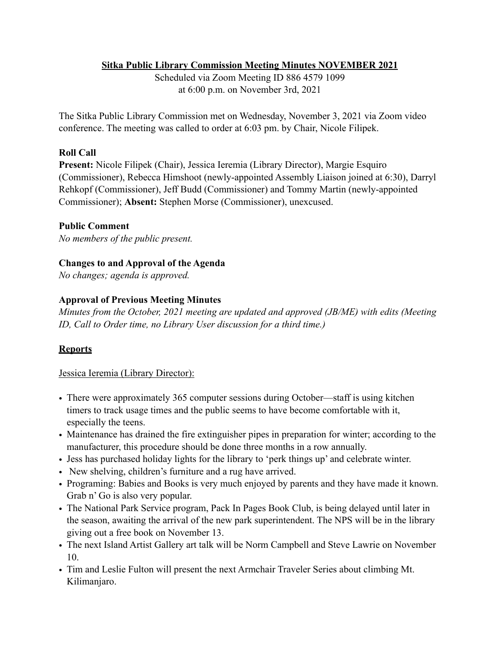# **Sitka Public Library Commission Meeting Minutes NOVEMBER 2021**

Scheduled via Zoom Meeting ID 886 4579 1099 at 6:00 p.m. on November 3rd, 2021

The Sitka Public Library Commission met on Wednesday, November 3, 2021 via Zoom video conference. The meeting was called to order at 6:03 pm. by Chair, Nicole Filipek.

### **Roll Call**

**Present:** Nicole Filipek (Chair), Jessica Ieremia (Library Director), Margie Esquiro (Commissioner), Rebecca Himshoot (newly-appointed Assembly Liaison joined at 6:30), Darryl Rehkopf (Commissioner), Jeff Budd (Commissioner) and Tommy Martin (newly-appointed Commissioner); **Absent:** Stephen Morse (Commissioner), unexcused.

### **Public Comment**

*No members of the public present.* 

# **Changes to and Approval of the Agenda**

*No changes; agenda is approved.* 

### **Approval of Previous Meeting Minutes**

*Minutes from the October, 2021 meeting are updated and approved (JB/ME) with edits (Meeting ID, Call to Order time, no Library User discussion for a third time.)* 

# **Reports**

### Jessica Ieremia (Library Director):

- There were approximately 365 computer sessions during October—staff is using kitchen timers to track usage times and the public seems to have become comfortable with it, especially the teens.
- Maintenance has drained the fire extinguisher pipes in preparation for winter; according to the manufacturer, this procedure should be done three months in a row annually.
- Jess has purchased holiday lights for the library to 'perk things up' and celebrate winter.
- New shelving, children's furniture and a rug have arrived.
- Programing: Babies and Books is very much enjoyed by parents and they have made it known. Grab n' Go is also very popular.
- The National Park Service program, Pack In Pages Book Club, is being delayed until later in the season, awaiting the arrival of the new park superintendent. The NPS will be in the library giving out a free book on November 13.
- The next Island Artist Gallery art talk will be Norm Campbell and Steve Lawrie on November 10.
- Tim and Leslie Fulton will present the next Armchair Traveler Series about climbing Mt. Kilimanjaro.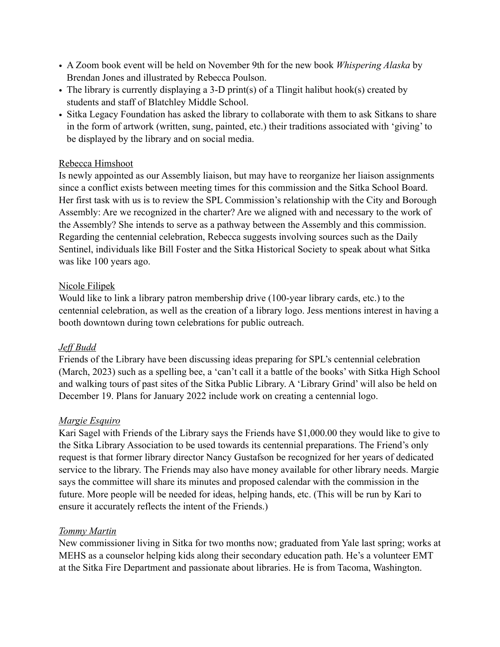- A Zoom book event will be held on November 9th for the new book *Whispering Alaska* by Brendan Jones and illustrated by Rebecca Poulson.
- The library is currently displaying a 3-D print(s) of a Tlingit halibut hook(s) created by students and staff of Blatchley Middle School.
- Sitka Legacy Foundation has asked the library to collaborate with them to ask Sitkans to share in the form of artwork (written, sung, painted, etc.) their traditions associated with 'giving' to be displayed by the library and on social media.

### Rebecca Himshoot

Is newly appointed as our Assembly liaison, but may have to reorganize her liaison assignments since a conflict exists between meeting times for this commission and the Sitka School Board. Her first task with us is to review the SPL Commission's relationship with the City and Borough Assembly: Are we recognized in the charter? Are we aligned with and necessary to the work of the Assembly? She intends to serve as a pathway between the Assembly and this commission. Regarding the centennial celebration, Rebecca suggests involving sources such as the Daily Sentinel, individuals like Bill Foster and the Sitka Historical Society to speak about what Sitka was like 100 years ago.

### Nicole Filipek

Would like to link a library patron membership drive (100-year library cards, etc.) to the centennial celebration, as well as the creation of a library logo. Jess mentions interest in having a booth downtown during town celebrations for public outreach.

# *Jeff Budd*

Friends of the Library have been discussing ideas preparing for SPL's centennial celebration (March, 2023) such as a spelling bee, a 'can't call it a battle of the books' with Sitka High School and walking tours of past sites of the Sitka Public Library. A 'Library Grind' will also be held on December 19. Plans for January 2022 include work on creating a centennial logo.

### *Margie Esquiro*

Kari Sagel with Friends of the Library says the Friends have \$1,000.00 they would like to give to the Sitka Library Association to be used towards its centennial preparations. The Friend's only request is that former library director Nancy Gustafson be recognized for her years of dedicated service to the library. The Friends may also have money available for other library needs. Margie says the committee will share its minutes and proposed calendar with the commission in the future. More people will be needed for ideas, helping hands, etc. (This will be run by Kari to ensure it accurately reflects the intent of the Friends.)

### *Tommy Martin*

New commissioner living in Sitka for two months now; graduated from Yale last spring; works at MEHS as a counselor helping kids along their secondary education path. He's a volunteer EMT at the Sitka Fire Department and passionate about libraries. He is from Tacoma, Washington.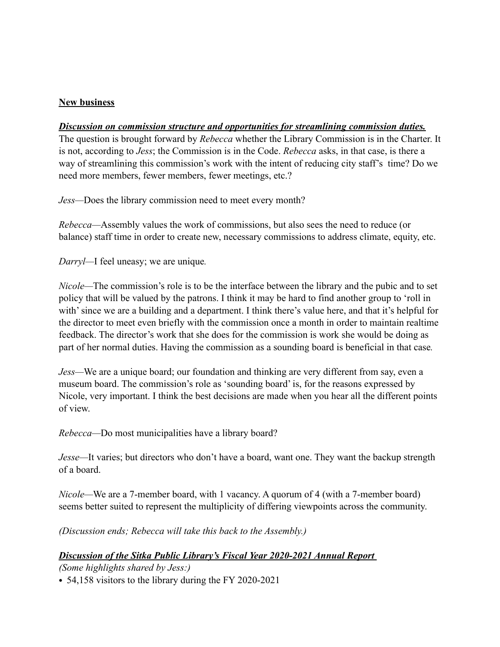### **New business**

#### *Discussion on commission structure and opportunities for streamlining commission duties.*

The question is brought forward by *Rebecca* whether the Library Commission is in the Charter. It is not, according to *Jess*; the Commission is in the Code. *Rebecca* asks, in that case, is there a way of streamlining this commission's work with the intent of reducing city staff's time? Do we need more members, fewer members, fewer meetings, etc.?

*Jess—*Does the library commission need to meet every month?

*Rebecca—*Assembly values the work of commissions, but also sees the need to reduce (or balance) staff time in order to create new, necessary commissions to address climate, equity, etc.

*Darryl—*I feel uneasy; we are unique*.* 

*Nicole—*The commission's role is to be the interface between the library and the pubic and to set policy that will be valued by the patrons. I think it may be hard to find another group to 'roll in with' since we are a building and a department. I think there's value here, and that it's helpful for the director to meet even briefly with the commission once a month in order to maintain realtime feedback. The director's work that she does for the commission is work she would be doing as part of her normal duties. Having the commission as a sounding board is beneficial in that case*.* 

*Jess—*We are a unique board; our foundation and thinking are very different from say, even a museum board. The commission's role as 'sounding board' is, for the reasons expressed by Nicole, very important. I think the best decisions are made when you hear all the different points of view.

*Rebecca—*Do most municipalities have a library board?

*Jesse—*It varies; but directors who don't have a board, want one. They want the backup strength of a board.

*Nicole—*We are a 7-member board, with 1 vacancy. A quorum of 4 (with a 7-member board) seems better suited to represent the multiplicity of differing viewpoints across the community.

*(Discussion ends; Rebecca will take this back to the Assembly.)*

### *Discussion of the Sitka Public Library's Fiscal Year 2020-2021 Annual Report*

*(Some highlights shared by Jess:)*

*•* 54,158 visitors to the library during the FY 2020-2021